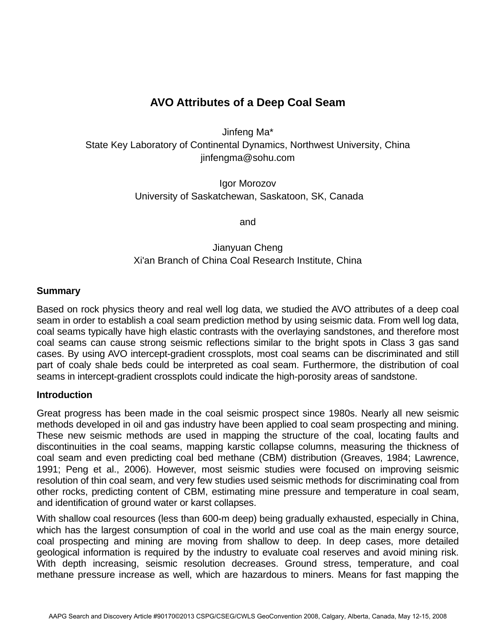# **AVO Attributes of a Deep Coal Seam**

Jinfeng Ma\* State Key Laboratory of Continental Dynamics, Northwest University, China jinfengma@sohu.com

> Igor Morozov University of Saskatchewan, Saskatoon, SK, Canada

> > and

# Jianyuan Cheng Xi'an Branch of China Coal Research Institute, China

#### **Summary**

Based on rock physics theory and real well log data, we studied the AVO attributes of a deep coal seam in order to establish a coal seam prediction method by using seismic data. From well log data, coal seams typically have high elastic contrasts with the overlaying sandstones, and therefore most coal seams can cause strong seismic reflections similar to the bright spots in Class 3 gas sand cases. By using AVO intercept-gradient crossplots, most coal seams can be discriminated and still part of coaly shale beds could be interpreted as coal seam. Furthermore, the distribution of coal seams in intercept-gradient crossplots could indicate the high-porosity areas of sandstone.

#### **Introduction**

Great progress has been made in the coal seismic prospect since 1980s. Nearly all new seismic methods developed in oil and gas industry have been applied to coal seam prospecting and mining. These new seismic methods are used in mapping the structure of the coal, locating faults and discontinuities in the coal seams, mapping karstic collapse columns, measuring the thickness of coal seam and even predicting coal bed methane (CBM) distribution (Greaves, 1984; Lawrence, 1991; Peng et al., 2006). However, most seismic studies were focused on improving seismic resolution of thin coal seam, and very few studies used seismic methods for discriminating coal from other rocks, predicting content of CBM, estimating mine pressure and temperature in coal seam, and identification of ground water or karst collapses.

With shallow coal resources (less than 600-m deep) being gradually exhausted, especially in China, which has the largest consumption of coal in the world and use coal as the main energy source, coal prospecting and mining are moving from shallow to deep. In deep cases, more detailed geological information is required by the industry to evaluate coal reserves and avoid mining risk. With depth increasing, seismic resolution decreases. Ground stress, temperature, and coal methane pressure increase as well, which are hazardous to miners. Means for fast mapping the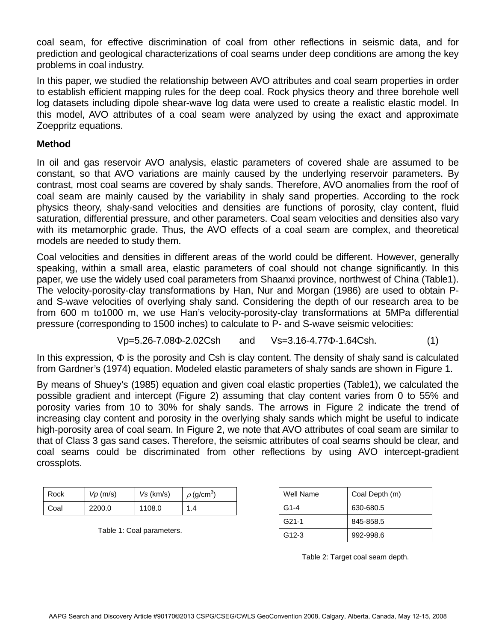coal seam, for effective discrimination of coal from other reflections in seismic data, and for prediction and geological characterizations of coal seams under deep conditions are among the key problems in coal industry.

In this paper, we studied the relationship between AVO attributes and coal seam properties in order to establish efficient mapping rules for the deep coal. Rock physics theory and three borehole well log datasets including dipole shear-wave log data were used to create a realistic elastic model. In this model, AVO attributes of a coal seam were analyzed by using the exact and approximate Zoeppritz equations.

### **Method**

In oil and gas reservoir AVO analysis, elastic parameters of covered shale are assumed to be constant, so that AVO variations are mainly caused by the underlying reservoir parameters. By contrast, most coal seams are covered by shaly sands. Therefore, AVO anomalies from the roof of coal seam are mainly caused by the variability in shaly sand properties. According to the rock physics theory, shaly-sand velocities and densities are functions of porosity, clay content, fluid saturation, differential pressure, and other parameters. Coal seam velocities and densities also vary with its metamorphic grade. Thus, the AVO effects of a coal seam are complex, and theoretical models are needed to study them.

Coal velocities and densities in different areas of the world could be different. However, generally speaking, within a small area, elastic parameters of coal should not change significantly. In this paper, we use the widely used coal parameters from Shaanxi province, northwest of China (Table1). The velocity-porosity-clay transformations by Han, Nur and Morgan (1986) are used to obtain Pand S-wave velocities of overlying shaly sand. Considering the depth of our research area to be from 600 m to1000 m, we use Han's velocity-porosity-clay transformations at 5MPa differential pressure (corresponding to 1500 inches) to calculate to P- and S-wave seismic velocities:

$$
Vp=5.26-7.08\Phi-2.02Csh
$$
 and  $Vs=3.16-4.77\Phi-1.64Csh.$  (1)

In this expression,  $\Phi$  is the porosity and Csh is clay content. The density of shaly sand is calculated from Gardner's (1974) equation. Modeled elastic parameters of shaly sands are shown in Figure 1.

By means of Shuey's (1985) equation and given coal elastic properties (Table1), we calculated the possible gradient and intercept (Figure 2) assuming that clay content varies from 0 to 55% and porosity varies from 10 to 30% for shaly sands. The arrows in Figure 2 indicate the trend of increasing clay content and porosity in the overlying shaly sands which might be useful to indicate high-porosity area of coal seam. In Figure 2, we note that AVO attributes of coal seam are similar to that of Class 3 gas sand cases. Therefore, the seismic attributes of coal seams should be clear, and coal seams could be discriminated from other reflections by using AVO intercept-gradient crossplots.

| Rock | Vp(m/s) | Vs (km/s) | $\rho$ (g/cm <sup>3)</sup> |
|------|---------|-----------|----------------------------|
| Coal | 2200.0  | 1108.0    | 1.4                        |

Table 1: Coal parameters.

| Well Name          | Coal Depth (m) |  |
|--------------------|----------------|--|
| $G1 - 4$           | 630-680.5      |  |
| $G21-1$            | 845-858.5      |  |
| G <sub>12</sub> -3 | 992-998.6      |  |

Table 2: Target coal seam depth.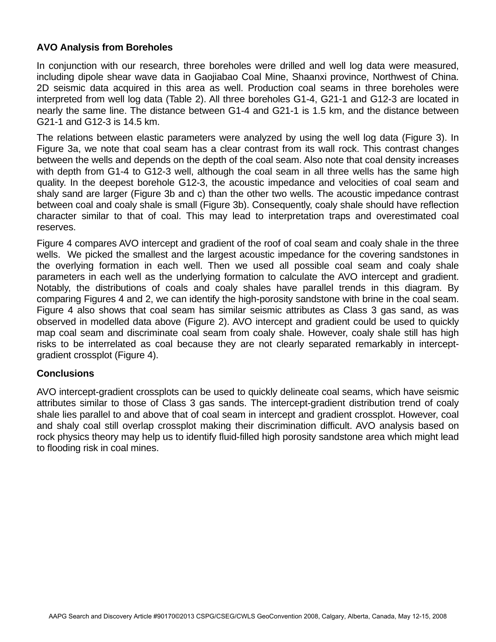## **AVO Analysis from Boreholes**

In conjunction with our research, three boreholes were drilled and well log data were measured, including dipole shear wave data in Gaojiabao Coal Mine, Shaanxi province, Northwest of China. 2D seismic data acquired in this area as well. Production coal seams in three boreholes were interpreted from well log data (Table 2). All three boreholes G1-4, G21-1 and G12-3 are located in nearly the same line. The distance between G1-4 and G21-1 is 1.5 km, and the distance between G21-1 and G12-3 is 14.5 km.

The relations between elastic parameters were analyzed by using the well log data (Figure 3). In Figure 3a, we note that coal seam has a clear contrast from its wall rock. This contrast changes between the wells and depends on the depth of the coal seam. Also note that coal density increases with depth from G1-4 to G12-3 well, although the coal seam in all three wells has the same high quality. In the deepest borehole G12-3, the acoustic impedance and velocities of coal seam and shaly sand are larger (Figure 3b and c) than the other two wells. The acoustic impedance contrast between coal and coaly shale is small (Figure 3b). Consequently, coaly shale should have reflection character similar to that of coal. This may lead to interpretation traps and overestimated coal reserves.

Figure 4 compares AVO intercept and gradient of the roof of coal seam and coaly shale in the three wells. We picked the smallest and the largest acoustic impedance for the covering sandstones in the overlying formation in each well. Then we used all possible coal seam and coaly shale parameters in each well as the underlying formation to calculate the AVO intercept and gradient. Notably, the distributions of coals and coaly shales have parallel trends in this diagram. By comparing Figures 4 and 2, we can identify the high-porosity sandstone with brine in the coal seam. Figure 4 also shows that coal seam has similar seismic attributes as Class 3 gas sand, as was observed in modelled data above (Figure 2). AVO intercept and gradient could be used to quickly map coal seam and discriminate coal seam from coaly shale. However, coaly shale still has high risks to be interrelated as coal because they are not clearly separated remarkably in interceptgradient crossplot (Figure 4).

#### **Conclusions**

AVO intercept-gradient crossplots can be used to quickly delineate coal seams, which have seismic attributes similar to those of Class 3 gas sands. The intercept-gradient distribution trend of coaly shale lies parallel to and above that of coal seam in intercept and gradient crossplot. However, coal and shaly coal still overlap crossplot making their discrimination difficult. AVO analysis based on rock physics theory may help us to identify fluid-filled high porosity sandstone area which might lead to flooding risk in coal mines.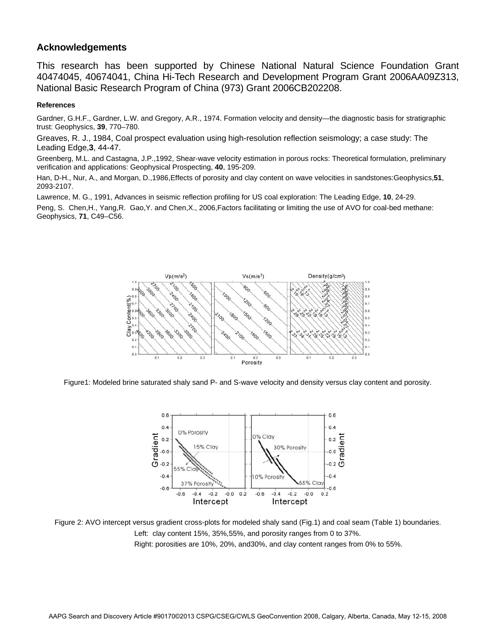#### **Acknowledgements**

This research has been supported by Chinese National Natural Science Foundation Grant 40474045, 40674041, China Hi-Tech Research and Development Program Grant 2006AA09Z313, National Basic Research Program of China (973) Grant 2006CB202208.

#### **References**

Gardner, G.H.F., Gardner, L.W. and Gregory, A.R., 1974. Formation velocity and density—the diagnostic basis for stratigraphic trust: Geophysics, **39**, 770–780.

Greaves, R. J., 1984, Coal prospect evaluation using high-resolution reflection seismology; a case study: The Leading Edge,**3**, 44-47.

Greenberg, M.L. and Castagna, J.P.,1992, Shear-wave velocity estimation in porous rocks: Theoretical formulation, preliminary verification and applications: Geophysical Prospecting, **40**, 195-209.

Han, D-H., Nur, A., and Morgan, D.,1986,Effects of porosity and clay content on wave velocities in sandstones:Geophysics,**51**, 2093-2107.

Lawrence, M. G., 1991, Advances in seismic reflection profiling for US coal exploration: The Leading Edge, **10**, 24-29.

Peng, S. Chen,H., Yang,R. Gao,Y. and Chen,X., 2006,Factors facilitating or limiting the use of AVO for coal-bed methane: Geophysics, **71**, C49–C56.



Figure1: Modeled brine saturated shaly sand P- and S-wave velocity and density versus clay content and porosity.



Figure 2: AVO intercept versus gradient cross-plots for modeled shaly sand (Fig.1) and coal seam (Table 1) boundaries. Left: clay content 15%, 35%,55%, and porosity ranges from 0 to 37%. Right: porosities are 10%, 20%, and30%, and clay content ranges from 0% to 55%.